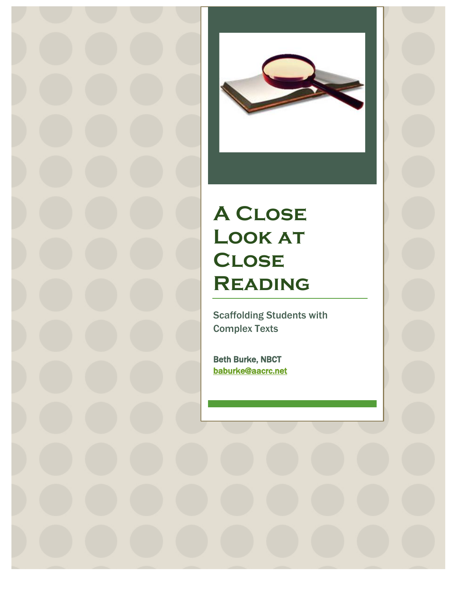

# **A Close**  LOOK AT **Close Reading**

Scaffolding Students with Complex Texts

Beth Burke, NBCT baburke@aacrc.net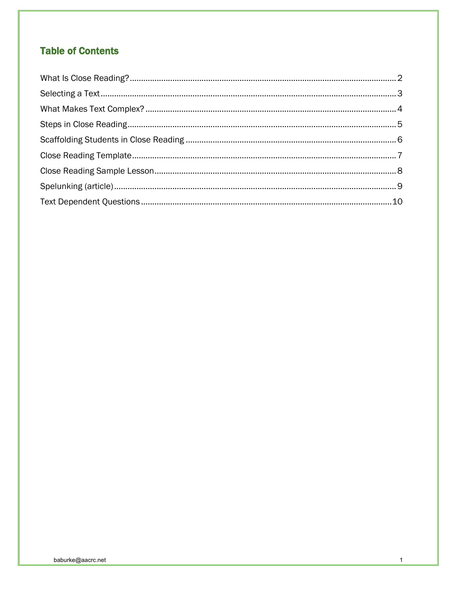# **Table of Contents**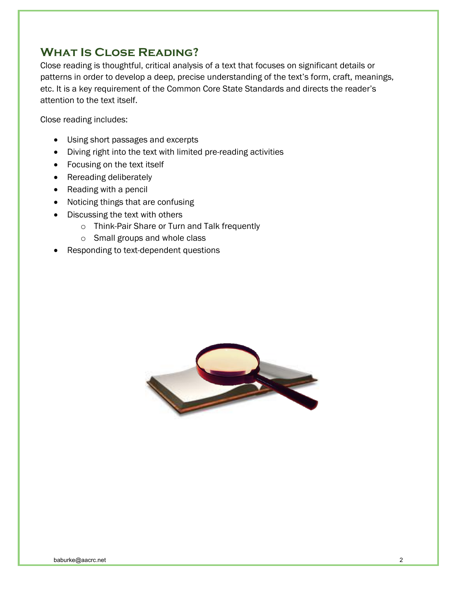# **What Is Close Reading?**

Close reading is thoughtful, critical analysis of a text that focuses on significant details or patterns in order to develop a deep, precise understanding of the text's form, craft, meanings, etc. It is a key requirement of the Common Core State Standards and directs the reader's attention to the text itself.

Close reading includes:

- Using short passages and excerpts
- Diving right into the text with limited pre-reading activities
- Focusing on the text itself
- Rereading deliberately
- Reading with a pencil
- Noticing things that are confusing
- Discussing the text with others
	- o Think-Pair Share or Turn and Talk frequently
	- o Small groups and whole class
- Responding to text-dependent questions

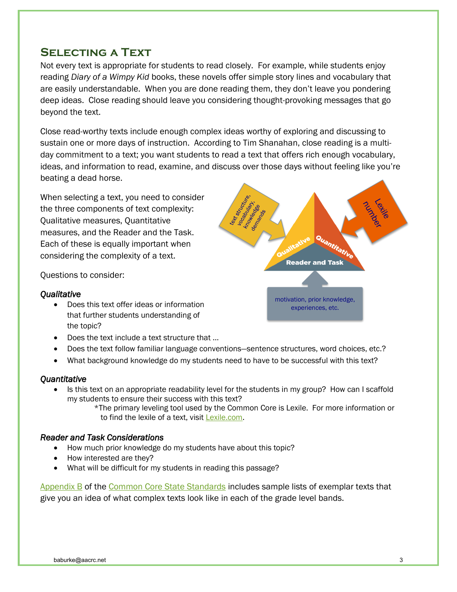# **Selecting a Text**

Not every text is appropriate for students to read closely. For example, while students enjoy reading *Diary of a Wimpy Kid* books, these novels offer simple story lines and vocabulary that are easily understandable. When you are done reading them, they don't leave you pondering deep ideas. Close reading should leave you considering thought-provoking messages that go beyond the text.

Close read-worthy texts include enough complex ideas worthy of exploring and discussing to sustain one or more days of instruction. According to Tim Shanahan, close reading is a multiday commitment to a text; you want students to read a text that offers rich enough vocabulary, ideas, and information to read, examine, and discuss over those days without feeling like you're beating a dead horse.

When selecting a text, you need to consider the three components of text complexity: Qualitative measures, Quantitative measures, and the Reader and the Task. Each of these is equally important when considering the complexity of a text.

Questions to consider:

#### *Qualitative*

- Does this text offer ideas or information that further students understanding of the topic?
- Does the text include a text structure that …
- Does the text follow familiar language conventions—sentence structures, word choices, etc.?
- What background knowledge do my students need to have to be successful with this text?

#### *Quantitative*

- Is this text on an appropriate readability level for the students in my group? How can I scaffold my students to ensure their success with this text?
	- \*The primary leveling tool used by the Common Core is Lexile. For more information or to find the lexile of a text, visit Lexile.com.

#### *Reader and Task Considerations*

- How much prior knowledge do my students have about this topic?
- How interested are they?
- What will be difficult for my students in reading this passage?

Appendix B of the Common Core State Standards includes sample lists of exemplar texts that give you an idea of what complex texts look like in each of the grade level bands.

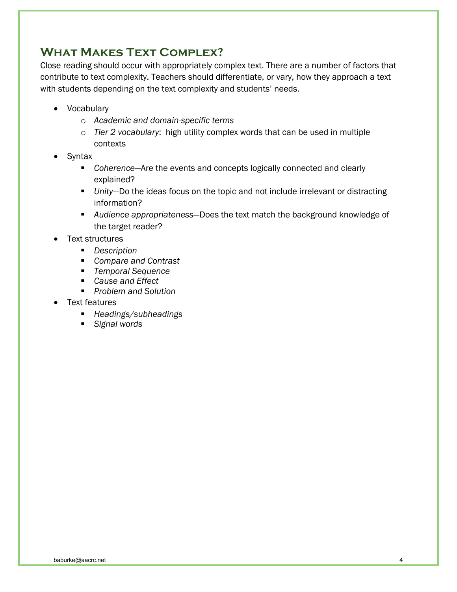# **What Makes Text Complex?**

Close reading should occur with appropriately complex text. There are a number of factors that contribute to text complexity. Teachers should differentiate, or vary, how they approach a text with students depending on the text complexity and students' needs.

- Vocabulary
	- o *Academic and domain-specific terms*
	- o *Tier 2 vocabulary*: high utility complex words that can be used in multiple contexts
- Syntax
	- *Coherence*—Are the events and concepts logically connected and clearly explained?
	- *Unity*—Do the ideas focus on the topic and not include irrelevant or distracting information?
	- *Audience appropriateness*—Does the text match the background knowledge of the target reader?
- Text structures
	- *Description*
	- *Compare and Contrast*
	- *Temporal Sequence*
	- *Cause and Effect*
	- *Problem and Solution*
- Text features
	- *Headings/subheadings*
	- *Signal words*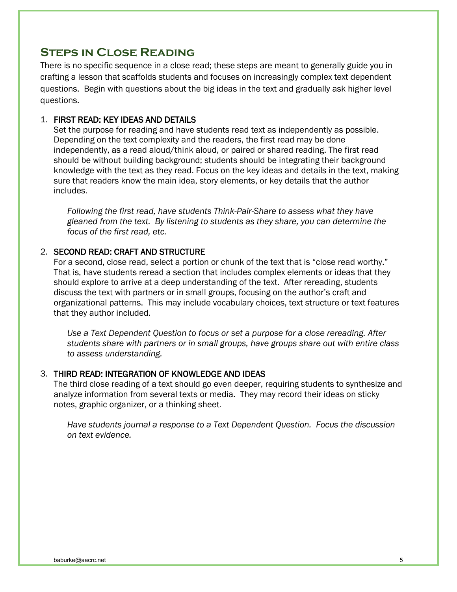# **Steps in Close Reading**

There is no specific sequence in a close read; these steps are meant to generally guide you in crafting a lesson that scaffolds students and focuses on increasingly complex text dependent questions. Begin with questions about the big ideas in the text and gradually ask higher level questions.

#### 1. FIRST READ: KEY IDEAS AND DETAILS

Set the purpose for reading and have students read text as independently as possible. Depending on the text complexity and the readers, the first read may be done independently, as a read aloud/think aloud, or paired or shared reading. The first read should be without building background; students should be integrating their background knowledge with the text as they read. Focus on the key ideas and details in the text, making sure that readers know the main idea, story elements, or key details that the author includes.

*Following the first read, have students Think-Pair-Share to assess what they have gleaned from the text. By listening to students as they share, you can determine the focus of the first read, etc.* 

#### 2. SECOND READ: CRAFT AND STRUCTURE

For a second, close read, select a portion or chunk of the text that is "close read worthy." That is, have students reread a section that includes complex elements or ideas that they should explore to arrive at a deep understanding of the text. After rereading, students discuss the text with partners or in small groups, focusing on the author's craft and organizational patterns. This may include vocabulary choices, text structure or text features that they author included.

*Use a Text Dependent Question to focus or set a purpose for a close rereading. After students share with partners or in small groups, have groups share out with entire class to assess understanding.* 

#### 3. THIRD READ: INTEGRATION OF KNOWLEDGE AND IDEAS

The third close reading of a text should go even deeper, requiring students to synthesize and analyze information from several texts or media. They may record their ideas on sticky notes, graphic organizer, or a thinking sheet.

*Have students journal a response to a Text Dependent Question. Focus the discussion on text evidence.*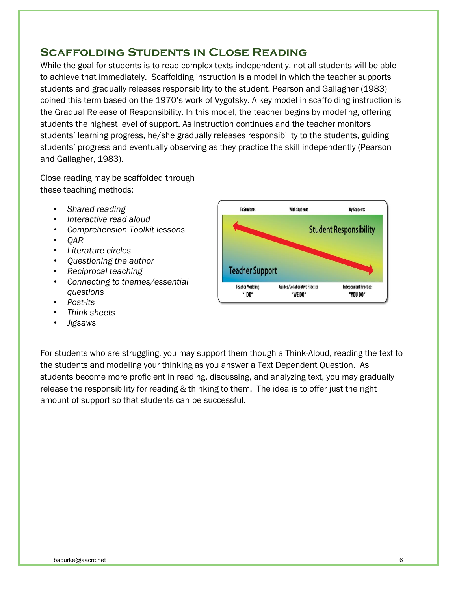# **Scaffolding Students in Close Reading**

While the goal for students is to read complex texts independently, not all students will be able to achieve that immediately. Scaffolding instruction is a model in which the teacher supports students and gradually releases responsibility to the student. Pearson and Gallagher (1983) coined this term based on the 1970's work of Vygotsky. A key model in scaffolding instruction is the Gradual Release of Responsibility. In this model, the teacher begins by modeling, offering students the highest level of support. As instruction continues and the teacher monitors students' learning progress, he/she gradually releases responsibility to the students, guiding students' progress and eventually observing as they practice the skill independently (Pearson and Gallagher, 1983).

Close reading may be scaffolded through these teaching methods:

- *Shared reading*
- *Interactive read aloud*
- *Comprehension Toolkit lessons*
- *QAR*
- *Literature circles*
- *Questioning the author*
- *Reciprocal teaching*
- *Connecting to themes/essential questions*
- *Post-its*
- *Think sheets*
- *Jigsaws*



For students who are struggling, you may support them though a Think-Aloud, reading the text to the students and modeling your thinking as you answer a Text Dependent Question. As students become more proficient in reading, discussing, and analyzing text, you may gradually release the responsibility for reading & thinking to them. The idea is to offer just the right amount of support so that students can be successful.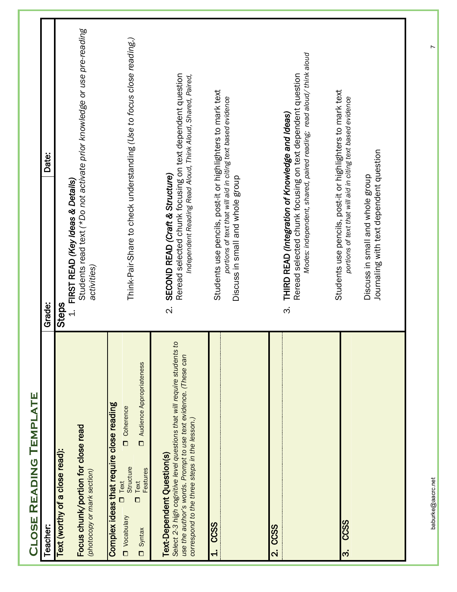| TEMPLATE<br><b>READING</b><br><b>JLOSE</b>                                                                                                                                                                                   |                                                                                                                                                                                                           |  |
|------------------------------------------------------------------------------------------------------------------------------------------------------------------------------------------------------------------------------|-----------------------------------------------------------------------------------------------------------------------------------------------------------------------------------------------------------|--|
| Teacher:                                                                                                                                                                                                                     | Date:<br>Grade:                                                                                                                                                                                           |  |
| Focus chunk/portion for close read<br>Text (worthy of a close read):<br>(photocopy or mark section)                                                                                                                          | Students read text (*Do not activate prior knowledge or use pre-reading<br>FIRST READ (Key Ideas & Details)<br>activities)<br>Steps<br>$\frac{1}{2}$                                                      |  |
| Audience Appropriateness<br>Complex ideas that require close reading<br>Ocherence<br>$\Box$<br>Structure<br><b>Features</b><br>Text<br>Iext<br>$\Box$<br>Vocabulary<br>Syntax<br>$\Box$                                      | Think-Pair-Share to check understanding (Use to focus close reading.)                                                                                                                                     |  |
| S,<br>Select 2-3 high cognitive level questions that will require students<br>use the author's words. Prompt to use text evidence. (These can<br>correspond to the three steps in the lesson.)<br>Text-Dependent Question(s) | Reread selected chunk focusing on text dependent question<br>Independent Reading Read Aloud, Think Aloud, Shared, Paired,<br>SECOND READ (Craft & Structure)<br>$\overline{\mathcal{N}}$                  |  |
| <b>CCSS</b><br>$\dot{+}$                                                                                                                                                                                                     | Students use pencils, post-it or highlighters to mark text<br>portions of text that will aid in citing text based evidence<br>Discuss in small and whole group                                            |  |
| CCSS<br>$\overline{\mathbf{N}}$                                                                                                                                                                                              | Modes: independent, shared, paired reading; read aloud/ think aloud<br>Reread selected chunk focusing on text dependent question<br>THIRD READ (Integration of Knowledge and Ideas)<br>$\dot{\infty}$     |  |
| CCSS<br>$\dot{\mathbf{c}}$                                                                                                                                                                                                   | Students use pencils, post-it or highlighters to mark text<br>portions of text that will aid in citing text based evidence<br>Journaling with text dependent question<br>Discuss in small and whole group |  |
| baburke@aacrc.net                                                                                                                                                                                                            |                                                                                                                                                                                                           |  |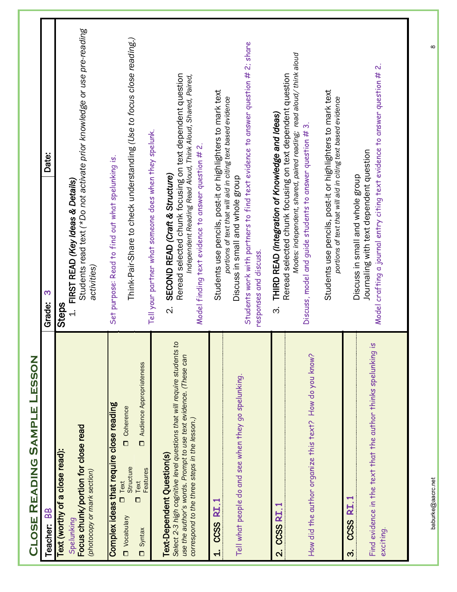| LESSON<br><b>SAMPLE</b><br>CLOSE READING                                                                                                                                                                                  |                                                                                                                                                                                                                                                                             |                                                                         |
|---------------------------------------------------------------------------------------------------------------------------------------------------------------------------------------------------------------------------|-----------------------------------------------------------------------------------------------------------------------------------------------------------------------------------------------------------------------------------------------------------------------------|-------------------------------------------------------------------------|
| Teacher: BB                                                                                                                                                                                                               | S<br>Grade:                                                                                                                                                                                                                                                                 | Date:                                                                   |
| Focus chunk/portion for close read<br>Text (worthy of a close read):<br>(photocopy or mark section)<br>Spelunking                                                                                                         | FIRST READ (Key Ideas & Details)<br>activities)<br><b>Steps</b><br>$\overline{a}$                                                                                                                                                                                           | Students read text (*Do not activate prior knowledge or use pre-reading |
| Audience Appropriateness<br>Complex ideas that require close reading<br>Ocherence<br>Structure<br>Features<br>$I$ Text<br>Text<br>$\Box$<br>Vocabulary<br>Syntax<br>$\Box$                                                | Set purpose: Read to find out what spelunking is.                                                                                                                                                                                                                           | Think-Pair-Share to check understanding (Use to focus close reading.)   |
| Select 2-3 high cognitive level questions that will require students to<br>use the author's words. Prompt to use text evidence. (These can<br>correspond to the three steps in the lesson.)<br>Text-Dependent Question(s) | Reread selected chunk focusing on text dependent question<br>Tell your partner what someone does when they spelunk.<br>Model finding text evidence to answer question # 2.<br>SECOND READ (Craft & Structure)<br>$\overline{\mathcal{N}}$                                   | Independent Reading Read Aloud, Think Aloud, Shared, Paired,            |
| Tell what people do and see when they go spelunking.<br>CCSS RI.1<br>$\dot{+}$                                                                                                                                            | Students work with partners to find text evidence to answer question # 2; share<br>Students use pencils, post-it or highlighters to mark text<br>portions of text that will aid in citing text based evidence<br>Discuss in small and whole group<br>responses and discuss. |                                                                         |
| How did the author organize this text? How do you know?<br><b>CCSS RI. 1</b><br>$\overline{\mathbf{N}}$                                                                                                                   | Reread selected chunk focusing on text dependent question<br>THIRD READ (Integration of Knowledge and Ideas)<br>Discuss, model and guide students to answer question # 3.<br>$\dot{\mathfrak{G}}$                                                                           | Modes: independent, shared, paired reading; read aloud/ think aloud     |
|                                                                                                                                                                                                                           | Students use pencils, post-it or highlighters to mark text<br>portions of text that will aid in citing text based evidence                                                                                                                                                  |                                                                         |
| Find evidence in the text that the author thinks spelunking is<br>$\overline{\mathbf{z}}$<br><b>CCSS</b><br>exciting.<br>က                                                                                                | Model crafting a journal entry citing text evidence to answer question # 2.<br>Journaling with text dependent question<br>Discuss in small and whole group                                                                                                                  |                                                                         |
|                                                                                                                                                                                                                           |                                                                                                                                                                                                                                                                             |                                                                         |

baburke@aacrc.net 8baburke@aacrc.net

 $\infty$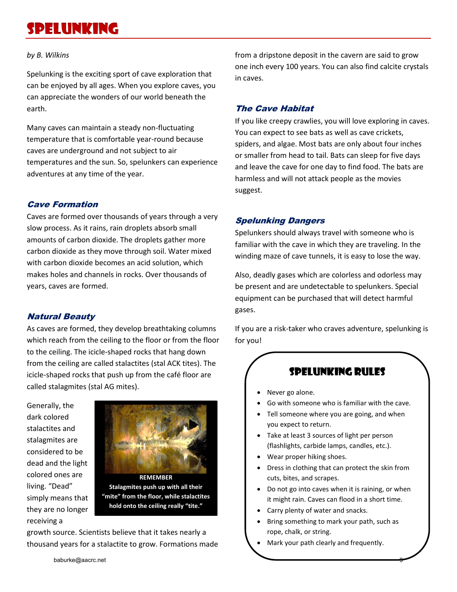# Spelunking

#### *by B. Wilkins*

Spelunking is the exciting sport of cave exploration that can be enjoyed by all ages. When you explore caves, you can appreciate the wonders of our world beneath the earth.

Many caves can maintain a steady non-fluctuating temperature that is comfortable year-round because caves are underground and not subject to air temperatures and the sun. So, spelunkers can experience adventures at any time of the year.

#### Cave Formation

Caves are formed over thousands of years through a very slow process. As it rains, rain droplets absorb small amounts of carbon dioxide. The droplets gather more carbon dioxide as they move through soil. Water mixed with carbon dioxide becomes an acid solution, which makes holes and channels in rocks. Over thousands of years, caves are formed.

#### Natural Beauty

As caves are formed, they develop breathtaking columns which reach from the ceiling to the floor or from the floor to the ceiling. The icicle-shaped rocks that hang down from the ceiling are called stalactites (stal ACK tites). The icicle-shaped rocks that push up from the café floor are called stalagmites (stal AG mites).

Generally, the dark colored stalactites and stalagmites are considered to be dead and the light colored ones are living. "Dead" simply means that they are no longer receiving a



**Stalagmites push up with all their "mite" from the floor, while stalactites hold onto the ceiling really "tite."**

growth source. Scientists believe that it takes nearly a thousand years for a stalactite to grow. Formations made from a dripstone deposit in the cavern are said to grow one inch every 100 years. You can also find calcite crystals in caves.

## The Cave Habitat

If you like creepy crawlies, you will love exploring in caves. You can expect to see bats as well as cave crickets, spiders, and algae. Most bats are only about four inches or smaller from head to tail. Bats can sleep for five days and leave the cave for one day to find food. The bats are harmless and will not attack people as the movies suggest.

## Spelunking Dangers

Spelunkers should always travel with someone who is familiar with the cave in which they are traveling. In the winding maze of cave tunnels, it is easy to lose the way.

Also, deadly gases which are colorless and odorless may be present and are undetectable to spelunkers. Special equipment can be purchased that will detect harmful gases.

If you are a risk-taker who craves adventure, spelunking is for you!

# Spelunking Rules

- Never go alone.
- Go with someone who is familiar with the cave.
- Tell someone where you are going, and when you expect to return.
- Take at least 3 sources of light per person (flashlights, carbide lamps, candles, etc.).
- Wear proper hiking shoes.
- Dress in clothing that can protect the skin from cuts, bites, and scrapes.
- Do not go into caves when it is raining, or when it might rain. Caves can flood in a short time.
- Carry plenty of water and snacks.
- Bring something to mark your path, such as rope, chalk, or string.
- Mark your path clearly and frequently.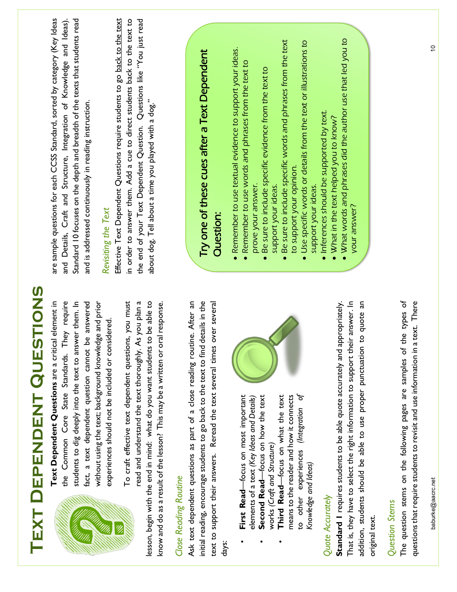| TEXT DEPENDENT QUESTIONS                                                                                                                                                                                                                                                                                                                                                                     |                                                                                                                                                                                                                                                                                                                                                                                                                                                                                 |
|----------------------------------------------------------------------------------------------------------------------------------------------------------------------------------------------------------------------------------------------------------------------------------------------------------------------------------------------------------------------------------------------|---------------------------------------------------------------------------------------------------------------------------------------------------------------------------------------------------------------------------------------------------------------------------------------------------------------------------------------------------------------------------------------------------------------------------------------------------------------------------------|
| the Common Core State Standards. They require<br>Text Dependent Questions are a critical element in<br>fact, a text dependent question cannot be answered<br>To craft effective text dependent questions, you must<br>students to dig deeply into the text to answer them. In<br>without using the text; background knowledge and prior<br>experiences should not be included or considered. | Effective Text Dependent Questions require students to go back to the text<br>are sample questions for each CCSS Standard, sorted by category (Key Ideas<br>Standard 10 focuses on the depth and breadth of the texts that students read<br>in order to answer them. Add a cue to direct students back to the text to<br>and Details, Craft and Structure, Integration of Knowledge and Ideas).<br>and is addressed continuously in reading instruction.<br>Revisiting the Text |
| read and understand the text thoroughly. As you plan a<br>lesson, begin with the end in mind: what do you want students to be able to<br>al response.<br>know and do as a result of the lesson? This may be a written or or                                                                                                                                                                  | the end of your Text Dependent Question. Questions like "You just read<br>about dog. Tell about a time you played with a dog."                                                                                                                                                                                                                                                                                                                                                  |
| Ask text dependent questions as part of a close reading routine. After an<br>initial reading, encourage students to go back to the text to find details in the<br>over several<br>text to support their answers. Reread the text several times<br><b>Close Reading Routine</b><br>days:                                                                                                      | Try one of these cues after a Text Dependent<br><b>Question:</b>                                                                                                                                                                                                                                                                                                                                                                                                                |
| ð<br>First Read-focus on most important<br>Third Read-focus on what the text<br>means to the reader and how it connects<br>Second Read-focus on how the text<br>elements of a text (Key Ideas and Details)<br>to other experiences (Integration<br>works (Craft and Structure)<br>Knowledge and Ideas)                                                                                       | Be sure to include specific words and phrases from the text<br>Use specific words or details from the text or illustrations to<br>· Remember to use textual evidence to support your ideas.<br>. Remember to use words and phrases from the text to<br>Be sure to include specific evidence from the text to<br>to support your opinion.<br>prove your answer.<br>support your ideas.<br>support your ideas                                                                     |
| Standard I requires students to be able quote accurately and appropriately.<br>That is, they have to select the right information to support their answer. In<br>to quote an<br>addition, students should be able to use proper punctuation<br>Quote Accurately<br>original text.                                                                                                            | . What words and phrases did the author use that led you to<br>Inferences should be supported by text.<br>What in the text helped you to know?<br>your answer?                                                                                                                                                                                                                                                                                                                  |
| The question stems on the following pages are samples of the types of<br>text. There<br>questions that require students to revisit and use information in a<br>Question Stems                                                                                                                                                                                                                |                                                                                                                                                                                                                                                                                                                                                                                                                                                                                 |
| baburke@aacrc.net                                                                                                                                                                                                                                                                                                                                                                            | $\tilde{=}$                                                                                                                                                                                                                                                                                                                                                                                                                                                                     |

baburke@aacrc.net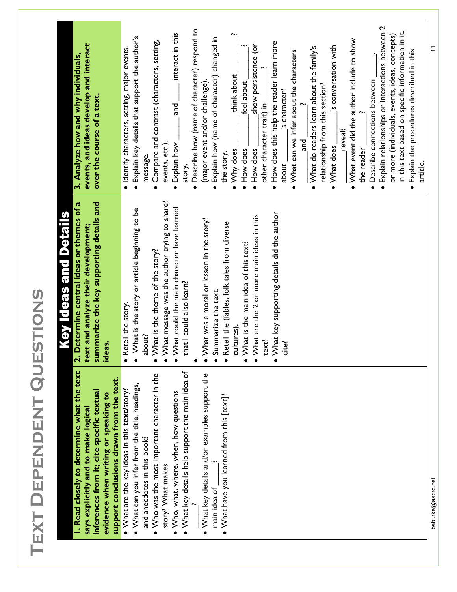| ı<br>۰<br>Í<br>h<br>C<br>L,<br>Þ<br>١<br>$\overline{\phantom{a}}$ |  |
|-------------------------------------------------------------------|--|
|                                                                   |  |
|                                                                   |  |
|                                                                   |  |
|                                                                   |  |
|                                                                   |  |
|                                                                   |  |
|                                                                   |  |
|                                                                   |  |
|                                                                   |  |
|                                                                   |  |
|                                                                   |  |
|                                                                   |  |
|                                                                   |  |
|                                                                   |  |
|                                                                   |  |
|                                                                   |  |
|                                                                   |  |
|                                                                   |  |
|                                                                   |  |
|                                                                   |  |
|                                                                   |  |
|                                                                   |  |
|                                                                   |  |
|                                                                   |  |
|                                                                   |  |
|                                                                   |  |
|                                                                   |  |

|                                                          | Key Ideas and Details                                    |                                                         |
|----------------------------------------------------------|----------------------------------------------------------|---------------------------------------------------------|
| I. Read closely to determine what the text               | 2. Determine central ideas or themes of a                | 3. Analyze how and why individuals,                     |
| says explicitly and to make logical                      | text and analyze their development;                      | events, and ideas develop and interact                  |
| inferences from it; cite specific textual                | summarize the key supporting details and                 | over the course of a text.                              |
| evidence when writing or speaking to                     | ideas.                                                   |                                                         |
| support conclusions drawn from the text.                 |                                                          |                                                         |
| • What are the key ideas in this $text{tory?}$           | Retell the story.                                        | · Identify characters, setting, major events,           |
| • What can you infer from the title, headings,           | What is the story or article beginning to be             | • Explain key details that support the author's         |
| and anecdotes in this book?                              | about?                                                   | message.                                                |
| Who was the most important character in the<br>$\bullet$ | What is the theme of the story?                          | Compare and contrast (characters, setting,<br>$\bullet$ |
| story? What makes                                        | What message was the author trying to share?             | events, etc.).                                          |
| . Who, what, where, when, how questions                  | What could the main character have learned               | interact in this<br>and<br>Explain how<br>$\bullet$     |
| • What key details help support the main idea of         | that I could also learn?                                 | story.                                                  |
|                                                          |                                                          | • Describe how (name of character) respond to           |
| • What key details and/or examples support the           | What was a moral or lesson in the story?                 | (major event and/or challenge)                          |
| main idea of                                             | Summarize the text.                                      | Explain how (name of character) changed in<br>$\bullet$ |
| $\bullet$ What have you learned from this [text]?        | Retell the (fables, folk tales from diverse<br>$\bullet$ | the story.                                              |
|                                                          | cultures).                                               | think about<br>• Why does                               |
|                                                          | What is the main idea of this text?<br>$\bullet$         | feel about<br>· How does                                |
|                                                          | What are the 2 or more main ideas in this<br>$\bullet$   | show persistence (or<br>• How does                      |
|                                                          | text?                                                    | other character trait) in                               |
|                                                          | What key supporting details did the author<br>$\bullet$  | • How does this help the reader learn more              |
|                                                          | cite?                                                    | 's character?<br>about <sub>_</sub>                     |
|                                                          |                                                          | • What can we infer about the characters                |
|                                                          |                                                          | and<br>a                                                |
|                                                          |                                                          | • What do readers learn about the family's              |
|                                                          |                                                          | relationship from this section?                         |
|                                                          |                                                          | 's conversation with<br>• What does                     |
|                                                          |                                                          | reveal?                                                 |
|                                                          |                                                          | • What event did the author include to show             |
|                                                          |                                                          | the reader                                              |
|                                                          |                                                          | • Describe connections between                          |
|                                                          |                                                          | · Explain relationships or interactions between 2       |
|                                                          |                                                          | or more (individuals, events, ideas, concepts)          |
|                                                          |                                                          | in this text based on specific information in it.       |
|                                                          |                                                          | • Explain the procedures described in this              |
|                                                          |                                                          | article.                                                |

baburke@aacrc.net 11 baburke@aacrc.net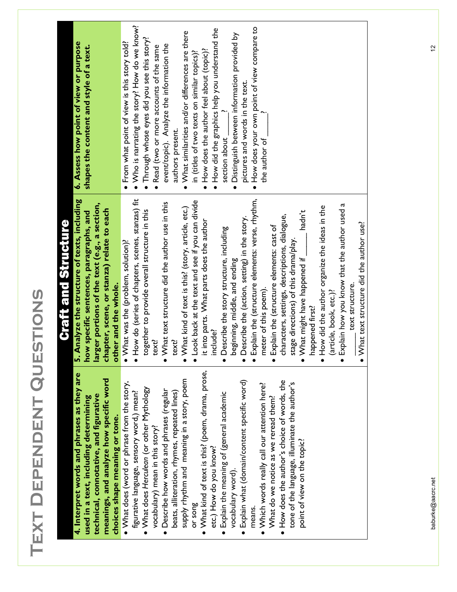| í<br>I                   |
|--------------------------|
| ı<br>I                   |
|                          |
|                          |
| ı<br>b<br>Í              |
|                          |
|                          |
|                          |
|                          |
| I                        |
|                          |
| Þ                        |
| 1                        |
|                          |
|                          |
| Þ                        |
| ı                        |
|                          |
|                          |
|                          |
|                          |
|                          |
|                          |
|                          |
|                          |
| $\overline{\phantom{0}}$ |
|                          |

| 4. Interpret words and phrases as they are |
|--------------------------------------------|
| used in a text, including determining      |
| technical, connotative, and figurative     |
| meanings, and analyze how specific word    |
| choices shape meaning or tone.             |

- What does (word or phrase from the story, What does (word or phrase from the story, What does *Herculean* (or other Mythology • What does Herculean (or other Mythology figurative language, sensory word,) mean? figurative language, sensory word,) mean? 0
	- Describe how words and phrases (regular • Describe how words and phrases (regular vocabulary) mean in this story? vocabulary) mean in this story?
- supply rhythm and meaning in a story, poem supply rhythm and meaning in a story, poem beats, alliteration, rhymes, repeated lines) beats, alliteration, rhymes, repeated lines) or song
- What kind of text is this? (poem, drama, prose, What kind of text is this? (poem, drama, prose, etc.) How do you know? etc.) How do you know? .
	- Explain the meaning of (general academic • Explain the meaning of (general academic vocabulary word). vocabulary word).
- Explain what (domain/content specific word) · Explain what (domain/content specific word) means. means.
- Which words really call our attention here? . Which words really call our attention here? What do we notice as we reread them? What do we notice as we reread them?
- . How does the author's choice of words, the How does the author's choice of words, the tone of the language, illuminate the author's tone of the language, illuminate the author's point of view on the topic? point of view on the topic?

# **Craft and Structure** Craft and Structure

**6. Assess how point of view or purpose shapes the content and style of a text.**

shapes the content and style of a text.

6. Assess how point of view or purpose

5. Analyze the structure of texts, including **5. Analyze the structure of texts, including larger portions of the text (e.g., a section,**  larger portions of the text (e.g., a section, **chapter, scene, or stanza) relate to each**  how specific sentences, paragraphs, and **how specific sentences, paragraphs, and**  chapter, scene, or stanza) relate to each other and the whole. **other and the whole.**

• What was the (problem, solution)? What was the (problem, solution)?

. From what point of view is this story told? From what point of view is this story told? . Who is narrating the story? How do we know? Who is narrating the story? How do we know? • Through whose eyes did you see this story? Through whose eyes did you see this story? . Read (two or more accounts of the same Read (two or more accounts of the same event/topic). Analyze the information the

- How do (series of chapters, scenes, stanzas) fit • How do (series of chapters, scenes, stanzas) fit together to provide overall structure in this together to provide overall structure in this text?
- What text structure did the author use in this What text structure did the author use in this text?

authors present.

authors present.

event/topic). Analyze the information the

• What similarities and/or differences are there What similarities and/or differences are there in (titles of two texts on similar topics)? . How does the author feel about (topic)? How does the author feel about (topic)?

in (titles of two texts on similar topics)?

. How did the graphics help you understand the How did the graphics help you understand the

section about  $\qquad$  ?

section about

.

Distinguish between information provided by

Distinguish between information provided by

pictures and words in the text.

pictures and words in the text.

. How does your own point of view compare to How does your own point of view compare to

the author of  $\sqrt{ }$ 

the author of

- What kind of text is this? (story, article, etc.) What kind of text is this? (story, article, etc.)
- Look back at the text and see if you can divide Look back at the text and see if you can divide it into parts. What parts does the author it into parts. What parts does the author include?
- Describe the story structure, including • Describe the story structure, including beginning, middle, and ending beginning, middle, and ending
- Describe the (action, setting) in the story. Describe the (action, setting) in the story.
- Explain the (structure elements: verse, rhythm, Explain the (structure elements: verse, rhythm, meter of this poem). meter of this poem).
	- characters, settings, descriptions, dialogue, characters, settings, descriptions, dialogue, Explain the (structure elements: cast of • Explain the (structure elements: cast of stage directions) of this drama/play.
- hadn't  $\bullet$  What might have happened if \_\_\_\_\_\_\_ hadn't stage directions) of this drama/play.  $\bullet$  What might have happened if  $\_$ happened first?
- How did the author organize the ideas in the . How did the author organize the ideas in the (article, book, etc.)? (article, book, etc.)? happened first?
- Explain how you know that the author used a Explain how you know that the author used a
- text structure. \_\_\_\_\_ text structure.
- What text structure did the author use?  $\bullet$  What text structure did the author use?  $\bullet$

# baburke@aacrc.net 12 baburke@aacrc.net